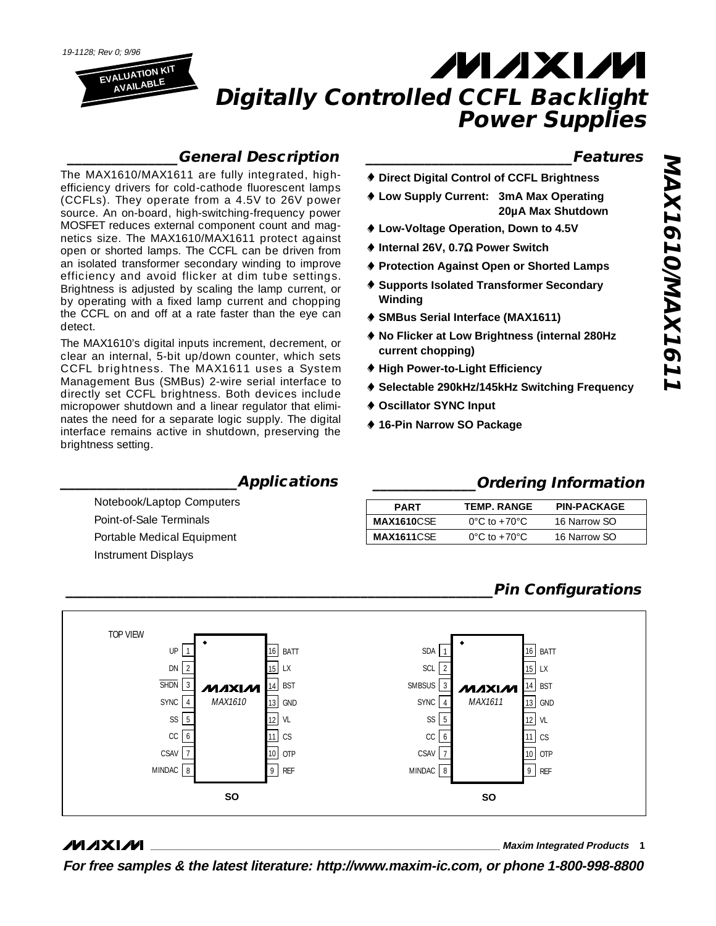

### **\_\_\_\_\_\_\_\_\_\_\_\_\_\_\_General Description**

The MAX1610/MAX1611 are fully integrated, highefficiency drivers for cold-cathode fluorescent lamps (CCFLs). They operate from a 4.5V to 26V power source. An on-board, high-switching-frequency power MOSFET reduces external component count and magnetics size. The MAX1610/MAX1611 protect against open or shorted lamps. The CCFL can be driven from an isolated transformer secondary winding to improve efficiency and avoid flicker at dim tube settings. Brightness is adjusted by scaling the lamp current, or by operating with a fixed lamp current and chopping the CCFL on and off at a rate faster than the eye can detect.

The MAX1610's digital inputs increment, decrement, or clear an internal, 5-bit up/down counter, which sets CCFL brightness. The MAX1611 uses a System Management Bus (SMBus) 2-wire serial interface to directly set CCFL brightness. Both devices include micropower shutdown and a linear regulator that eliminates the need for a separate logic supply. The digital interface remains active in shutdown, preserving the brightness setting.

### **\_\_\_\_\_\_\_\_\_\_\_\_\_\_\_\_\_\_\_\_\_\_\_\_Applications**

Notebook/Laptop Computers Point-of-Sale Terminals Portable Medical Equipment Instrument Displays

### **\_\_\_\_\_\_\_\_\_\_\_\_\_\_\_\_\_\_\_\_\_\_\_\_\_\_\_\_Features**

- ¨ **Direct Digital Control of CCFL Brightness**
- ¨ **Low Supply Current: 3mA Max Operating 20µA Max Shutdown**
- ¨ **Low-Voltage Operation, Down to 4.5V**
- ¨ **Internal 26V, 0.7**W **Power Switch**
- **♦ Protection Against Open or Shorted Lamps**
- ¨ **Supports Isolated Transformer Secondary Winding**
- ¨ **SMBus Serial Interface (MAX1611)**
- **◆ No Flicker at Low Brightness (internal 280Hz current chopping)**
- ◆ High Power-to-Light Efficiency
- ◆ Selectable 290kHz/145kHz Switching Frequency
- ¨ **Oscillator SYNC Input**
- ◆ 16-Pin Narrow SO Package

### **\_\_\_\_\_\_\_\_\_\_\_\_\_\_Ordering Information**

| <b>PART</b>        | <b>TEMP. RANGE</b>                 | <b>PIN-PACKAGE</b> |
|--------------------|------------------------------------|--------------------|
| MAX1610CSE         | $0^{\circ}$ C to +70 $^{\circ}$ C. | 16 Narrow SO       |
| <b>MAX1611</b> CSE | $0^{\circ}$ C to +70 $^{\circ}$ C. | 16 Narrow SO       |

## **\_\_\_\_\_\_\_\_\_\_\_\_\_\_\_\_\_\_\_\_\_\_\_\_\_\_\_\_\_\_\_\_\_\_\_\_\_\_\_\_\_\_\_\_\_\_\_\_\_\_\_\_\_\_\_\_\_\_Pin Configurations**



### **MAXM**

**\_\_\_\_\_\_\_\_\_\_\_\_\_\_\_\_\_\_\_\_\_\_\_\_\_\_\_\_\_\_\_\_\_\_\_\_\_\_\_\_\_\_\_\_\_\_\_\_\_\_\_\_\_\_\_\_\_\_\_\_\_\_\_\_ Maxim Integrated Products 1**

**For free samples & the latest literature: http://www.maxim-ic.com, or phone 1-800-998-8800**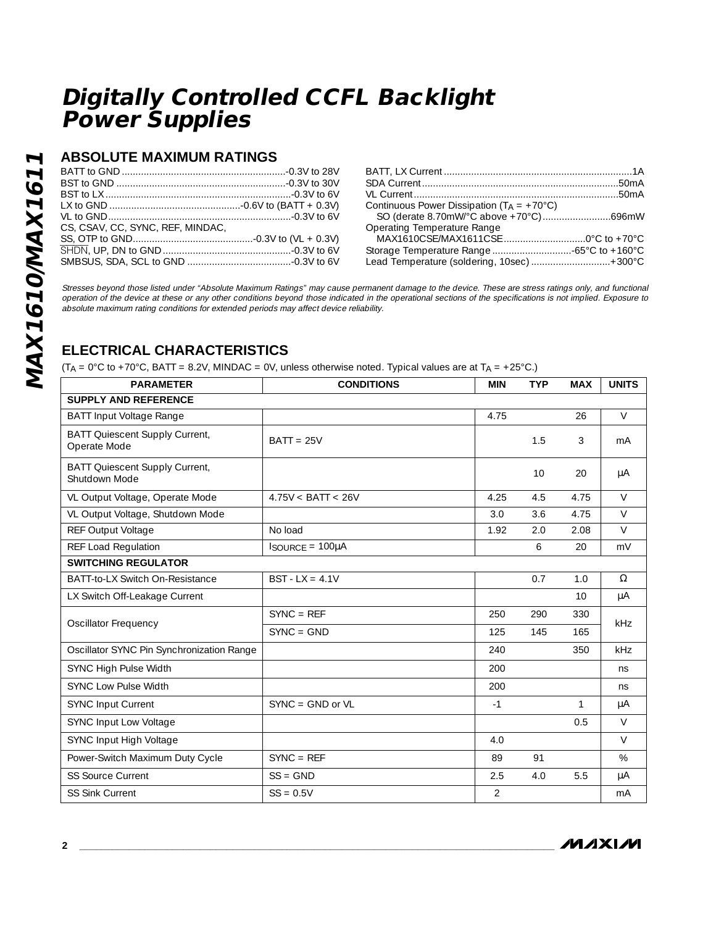### **ABSOLUTE MAXIMUM RATINGS**

| CS, CSAV, CC, SYNC, REF, MINDAC. |  |
|----------------------------------|--|
|                                  |  |
|                                  |  |
|                                  |  |

| Continuous Power Dissipation $(T_A = +70^{\circ}C)$ |  |
|-----------------------------------------------------|--|
|                                                     |  |
| Operating Temperature Range                         |  |
|                                                     |  |
|                                                     |  |
| Lead Temperature (soldering, 10sec)+300°C           |  |

Stresses beyond those listed under "Absolute Maximum Ratings" may cause permanent damage to the device. These are stress ratings only, and functional operation of the device at these or any other conditions beyond those indicated in the operational sections of the specifications is not implied. Exposure to absolute maximum rating conditions for extended periods may affect device reliability.

## **ELECTRICAL CHARACTERISTICS**

 $(T_A = 0^{\circ}C$  to +70°C, BATT = 8.2V, MINDAC = 0V, unless otherwise noted. Typical values are at T<sub>A</sub> = +25°C.)

| <b>PARAMETER</b>                                      | <b>CONDITIONS</b>    | <b>MIN</b>     | <b>TYP</b> | <b>MAX</b> | <b>UNITS</b> |
|-------------------------------------------------------|----------------------|----------------|------------|------------|--------------|
| <b>SUPPLY AND REFERENCE</b>                           |                      |                |            |            |              |
| <b>BATT Input Voltage Range</b>                       |                      | 4.75           |            | 26         | $\vee$       |
| <b>BATT Quiescent Supply Current,</b><br>Operate Mode | $BAT = 25V$          |                | 1.5        | 3          | mA           |
| BATT Quiescent Supply Current,<br>Shutdown Mode       |                      |                | 10         | 20         | μA           |
| VL Output Voltage, Operate Mode                       | 4.75V < BATT < 26V   | 4.25           | 4.5        | 4.75       | $\vee$       |
| VL Output Voltage, Shutdown Mode                      |                      | 3.0            | 3.6        | 4.75       | $\vee$       |
| REF Output Voltage                                    | No load              | 1.92           | 2.0        | 2.08       | $\vee$       |
| REF Load Regulation                                   | $IsoURE = 100\muA$   |                | 6          | 20         | mV           |
| <b>SWITCHING REGULATOR</b>                            |                      |                |            |            |              |
| BATT-to-LX Switch On-Resistance                       | $BST - LX = 4.1V$    |                | 0.7        | 1.0        | $\Omega$     |
| LX Switch Off-Leakage Current                         |                      |                |            | 10         | $\mu A$      |
|                                                       | $SYNC = REF$         | 250            | 290        | 330        | <b>kHz</b>   |
| <b>Oscillator Frequency</b>                           | $SYNC = GND$         | 125            | 145        | 165        |              |
| Oscillator SYNC Pin Synchronization Range             |                      | 240            |            | 350        | kHz          |
| SYNC High Pulse Width                                 |                      | 200            |            |            | ns           |
| <b>SYNC Low Pulse Width</b>                           |                      | 200            |            |            | ns           |
| <b>SYNC Input Current</b>                             | $SYNC = GND$ or $VL$ | $-1$           |            | 1          | $\mu A$      |
| SYNC Input Low Voltage                                |                      |                |            | 0.5        | $\vee$       |
| SYNC Input High Voltage                               |                      | 4.0            |            |            | $\vee$       |
| Power-Switch Maximum Duty Cycle                       | $SYNC = REF$         | 89             | 91         |            | $\%$         |
| <b>SS Source Current</b>                              | $SS = GND$           | 2.5            | 4.0        | 5.5        | μA           |
| <b>SS Sink Current</b>                                | $SS = 0.5V$          | $\overline{2}$ |            |            | mA           |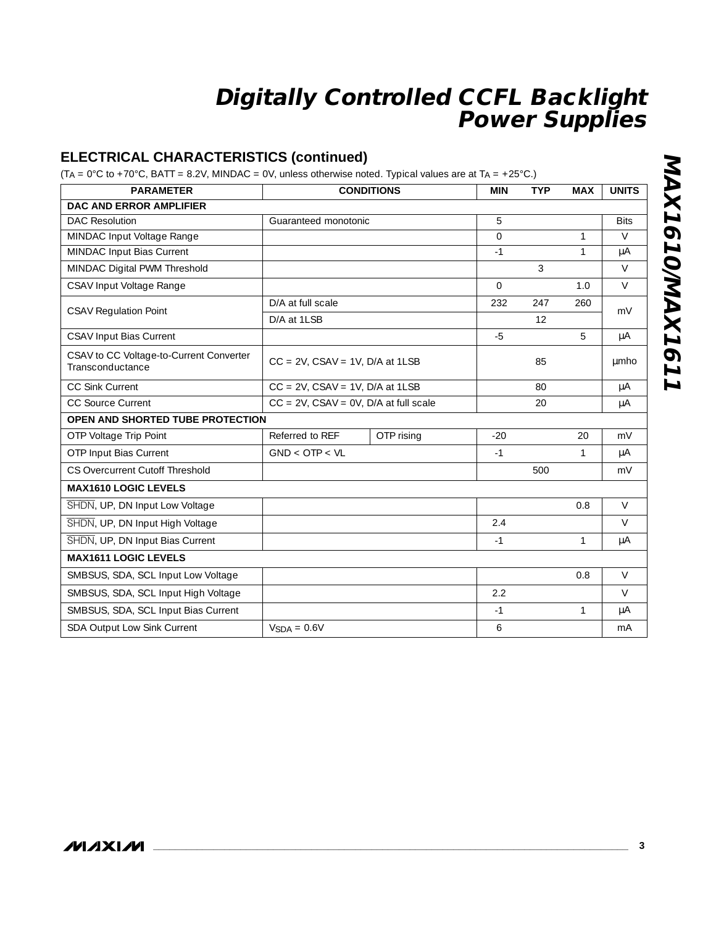### **ELECTRICAL CHARACTERISTICS (continued)**

(T<sub>A</sub> =  $0^{\circ}$ C to +70 $^{\circ}$ C, BATT = 8.2V, MINDAC = 0V, unless otherwise noted. Typical values are at T<sub>A</sub> = +25 $^{\circ}$ C.)

| <b>PARAMETER</b>                                            |                                               | <b>CONDITIONS</b> | <b>MIN</b> | <b>TYP</b> | <b>MAX</b>   | <b>UNITS</b> |
|-------------------------------------------------------------|-----------------------------------------------|-------------------|------------|------------|--------------|--------------|
| <b>DAC AND ERROR AMPLIFIER</b>                              |                                               |                   |            |            |              |              |
| <b>DAC Resolution</b>                                       | Guaranteed monotonic                          |                   | 5          |            |              | <b>Bits</b>  |
| MINDAC Input Voltage Range                                  |                                               |                   | $\Omega$   |            | $\mathbf{1}$ | $\vee$       |
| MINDAC Input Bias Current                                   |                                               |                   | $-1$       |            | $\mathbf{1}$ | $\mu A$      |
| MINDAC Digital PWM Threshold                                |                                               |                   |            | 3          |              | $\vee$       |
| CSAV Input Voltage Range                                    |                                               |                   | $\Omega$   |            | 1.0          | $\vee$       |
|                                                             | D/A at full scale                             |                   | 232        | 247        | 260          |              |
| <b>CSAV Regulation Point</b>                                | D/A at 1LSB                                   |                   |            | 12         |              | mV           |
| <b>CSAV Input Bias Current</b>                              |                                               |                   | $-5$       |            | 5            | μA           |
| CSAV to CC Voltage-to-Current Converter<br>Transconductance | $CC = 2V$ , $CSAV = 1V$ , $D/A$ at $1LSB$     |                   |            | 85         |              | umho         |
| <b>CC Sink Current</b>                                      | $CC = 2V$ , $CSAV = 1V$ , $D/A$ at $1LSB$     |                   |            | 80         |              | $\mu A$      |
| <b>CC Source Current</b>                                    | $CC = 2V$ , $CSAV = OV$ , $D/A$ at full scale |                   |            | 20         |              | μA           |
| OPEN AND SHORTED TUBE PROTECTION                            |                                               |                   |            |            |              |              |
| OTP Voltage Trip Point                                      | Referred to REF                               | OTP rising        | $-20$      |            | 20           | mV           |
| OTP Input Bias Current                                      | GND < OTP < VL                                |                   | $-1$       |            | $\mathbf{1}$ | μA           |
| CS Overcurrent Cutoff Threshold                             |                                               |                   |            | 500        |              | mV           |
| <b>MAX1610 LOGIC LEVELS</b>                                 |                                               |                   |            |            |              |              |
| SHDN, UP, DN Input Low Voltage                              |                                               |                   |            |            | 0.8          | $\vee$       |
| SHDN, UP, DN Input High Voltage                             |                                               |                   | 2.4        |            |              | $\vee$       |
| SHDN, UP, DN Input Bias Current                             |                                               |                   | $-1$       |            | $\mathbf{1}$ | μA           |
| <b>MAX1611 LOGIC LEVELS</b>                                 |                                               |                   |            |            |              |              |
| SMBSUS, SDA, SCL Input Low Voltage                          |                                               |                   |            |            | 0.8          | $\vee$       |
| SMBSUS, SDA, SCL Input High Voltage                         |                                               |                   | 2.2        |            |              | $\vee$       |
| SMBSUS, SDA, SCL Input Bias Current                         |                                               |                   | $-1$       |            | $\mathbf{1}$ | $\mu A$      |
| SDA Output Low Sink Current                                 | $VSDA = 0.6V$                                 |                   | 6          |            |              | mA           |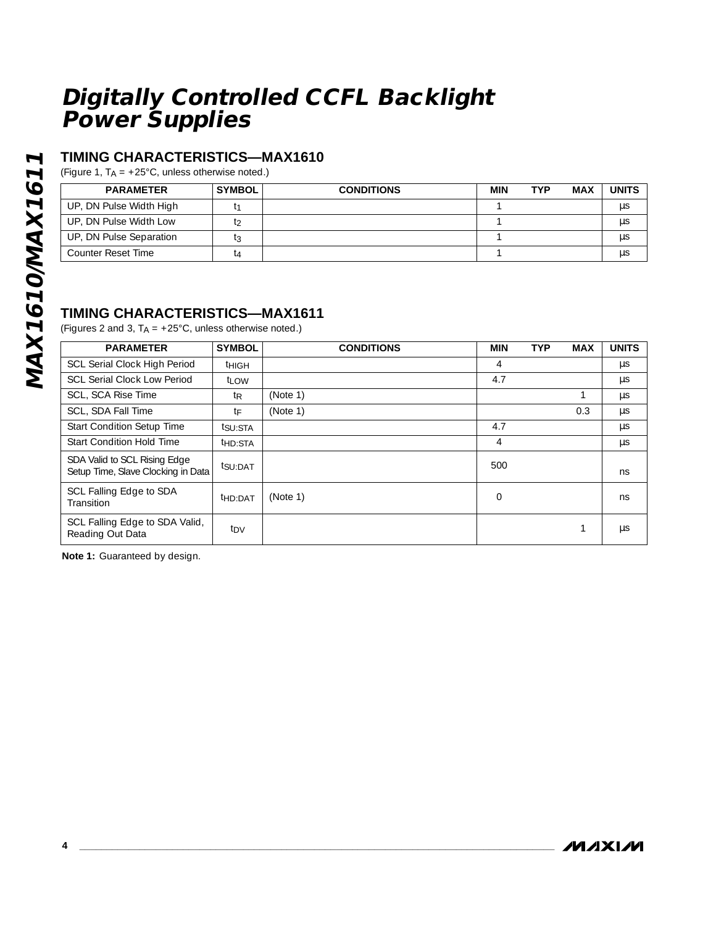### **TIMING CHARACTERISTICS—MAX1610**

(Figure 1,  $T_A = +25^{\circ}$ C, unless otherwise noted.)

| <b>PARAMETER</b>        | <b>SYMBOL</b> | <b>CONDITIONS</b> | MIN | <b>TYP</b> | MAX | <b>UNITS</b> |
|-------------------------|---------------|-------------------|-----|------------|-----|--------------|
| UP, DN Pulse Width High |               |                   |     |            |     | μS           |
| UP, DN Pulse Width Low  |               |                   |     |            |     | μS           |
| UP, DN Pulse Separation |               |                   |     |            |     | μs           |
| Counter Reset Time      | lΔ            |                   |     |            |     | μS           |

### **TIMING CHARACTERISTICS—MAX1611**

(Figures 2 and 3,  $T_A = +25^{\circ}$ C, unless otherwise noted.)

| <b>PARAMETER</b>                                                   | <b>SYMBOL</b>       | <b>CONDITIONS</b> | <b>MIN</b>    | <b>TYP</b> | <b>MAX</b> | <b>UNITS</b> |
|--------------------------------------------------------------------|---------------------|-------------------|---------------|------------|------------|--------------|
| <b>SCL Serial Clock High Period</b>                                | <sup>t</sup> HIGH   |                   | 4             |            |            | μs           |
| <b>SCL Serial Clock Low Period</b>                                 | t <sub>LOW</sub>    |                   | 4.7           |            |            | $\mu$ s      |
| SCL, SCA Rise Time                                                 | t <sub>R</sub>      | (Note 1)          |               |            |            | $\mu$ s      |
| SCL, SDA Fall Time                                                 | tF                  | (Note 1)          |               |            | 0.3        | μs           |
| Start Condition Setup Time                                         | tsu:STA             |                   | 4.7           |            |            | μs           |
| <b>Start Condition Hold Time</b>                                   | t <sub>HD:STA</sub> |                   | 4             |            |            | $\mu$ s      |
| SDA Valid to SCL Rising Edge<br>Setup Time, Slave Clocking in Data | tsu:DAT             |                   | 500           |            |            | ns           |
| SCL Falling Edge to SDA<br>Transition                              | <sup>t</sup> HD:DAT | (Note 1)          | $\mathcal{O}$ |            |            | ns           |
| SCL Falling Edge to SDA Valid,<br>Reading Out Data                 | tdv                 |                   |               |            |            | μs           |

**Note 1:** Guaranteed by design.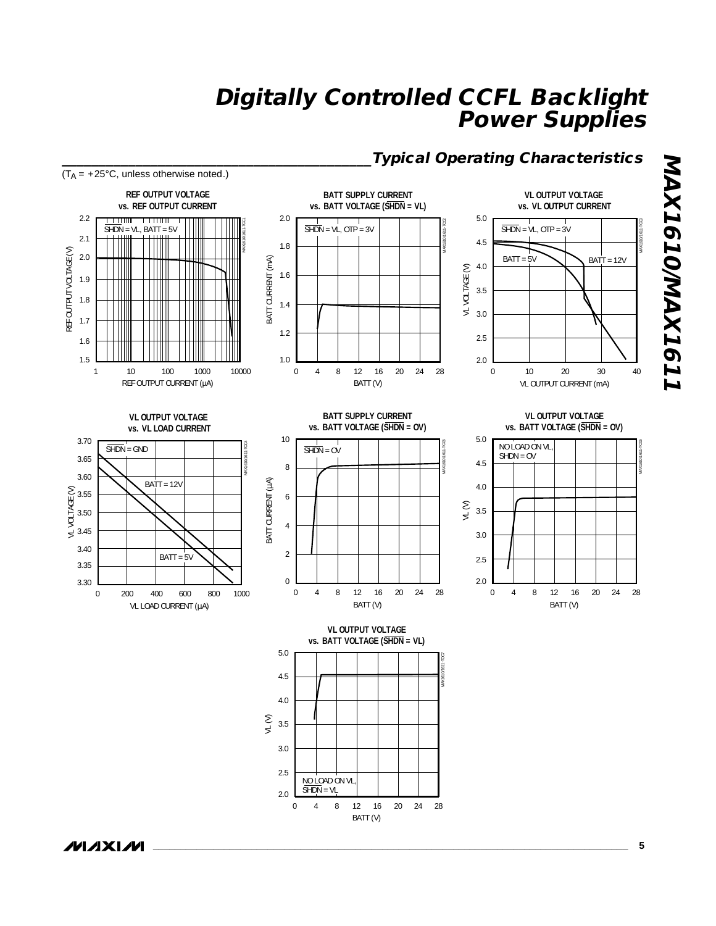



**\_\_\_\_\_\_\_\_\_\_\_\_\_\_\_\_\_\_\_\_\_\_\_\_\_\_\_\_\_\_\_\_\_\_\_\_\_\_\_\_\_\_\_\_\_\_\_\_\_\_\_\_\_\_\_\_\_\_\_\_\_\_\_\_\_\_\_\_\_\_\_\_\_\_\_\_\_\_\_\_\_\_\_\_\_\_\_ 5**

/VI/IXI/VI

**MAX1610/MAX1611**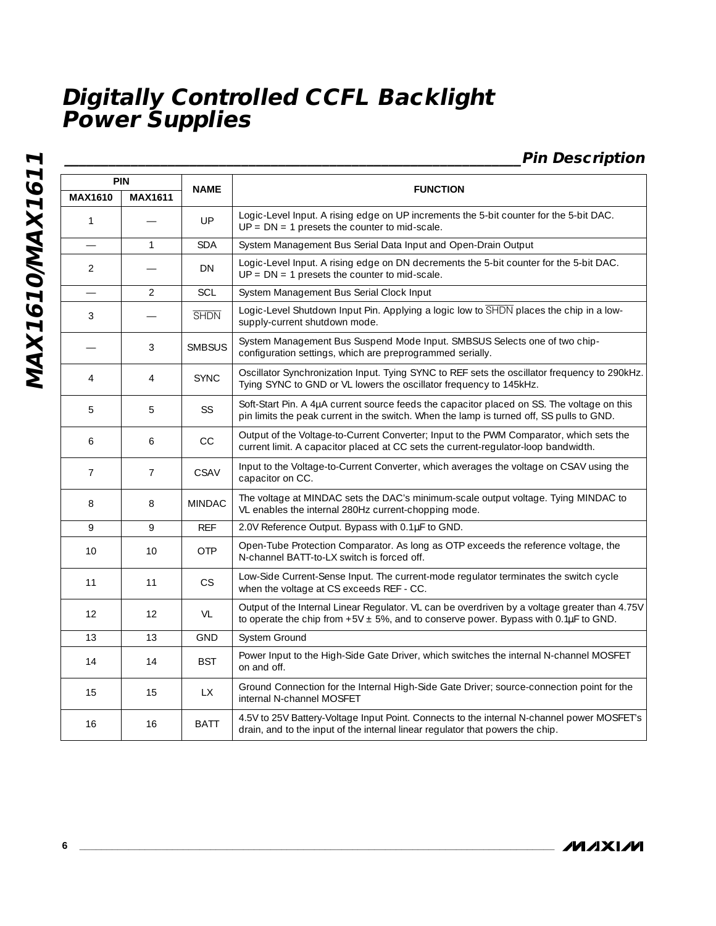**\_\_\_\_\_\_\_\_\_\_\_\_\_\_\_\_\_\_\_\_\_\_\_\_\_\_\_\_\_\_\_\_\_\_\_\_\_\_\_\_\_\_\_\_\_\_\_\_\_\_\_\_\_\_\_\_\_\_\_\_\_\_Pin Description**

| <b>PIN</b>               |                |               |                                                                                                                                                                                                  |
|--------------------------|----------------|---------------|--------------------------------------------------------------------------------------------------------------------------------------------------------------------------------------------------|
| <b>MAX1610</b>           | <b>MAX1611</b> | <b>NAME</b>   | <b>FUNCTION</b>                                                                                                                                                                                  |
| 1                        |                | UP            | Logic-Level Input. A rising edge on UP increments the 5-bit counter for the 5-bit DAC.<br>$UP = DN = 1$ presets the counter to mid-scale.                                                        |
| $\overline{\phantom{0}}$ | $\mathbf{1}$   | <b>SDA</b>    | System Management Bus Serial Data Input and Open-Drain Output                                                                                                                                    |
| 2                        |                | DN            | Logic-Level Input. A rising edge on DN decrements the 5-bit counter for the 5-bit DAC.<br>$UP = DN = 1$ presets the counter to mid-scale.                                                        |
|                          | $\overline{2}$ | SCL           | System Management Bus Serial Clock Input                                                                                                                                                         |
| 3                        |                | <b>SHDN</b>   | Logic-Level Shutdown Input Pin. Applying a logic low to SHDN places the chip in a low-<br>supply-current shutdown mode.                                                                          |
|                          | 3              | <b>SMBSUS</b> | System Management Bus Suspend Mode Input. SMBSUS Selects one of two chip-<br>configuration settings, which are preprogrammed serially.                                                           |
| $\overline{4}$           | 4              | <b>SYNC</b>   | Oscillator Synchronization Input. Tying SYNC to REF sets the oscillator frequency to 290kHz.<br>Tying SYNC to GND or VL lowers the oscillator frequency to 145kHz.                               |
| 5                        | 5              | SS            | Soft-Start Pin. A 4µA current source feeds the capacitor placed on SS. The voltage on this<br>pin limits the peak current in the switch. When the lamp is turned off, SS pulls to GND.           |
| 6                        | 6              | CC            | Output of the Voltage-to-Current Converter; Input to the PWM Comparator, which sets the<br>current limit. A capacitor placed at CC sets the current-regulator-loop bandwidth.                    |
| $\overline{7}$           | $\overline{7}$ | CSAV          | Input to the Voltage-to-Current Converter, which averages the voltage on CSAV using the<br>capacitor on CC.                                                                                      |
| 8                        | 8              | <b>MINDAC</b> | The voltage at MINDAC sets the DAC's minimum-scale output voltage. Tying MINDAC to<br>VL enables the internal 280Hz current-chopping mode.                                                       |
| 9                        | 9              | <b>REF</b>    | 2.0V Reference Output. Bypass with 0.1µF to GND.                                                                                                                                                 |
| 10                       | 10             | <b>OTP</b>    | Open-Tube Protection Comparator. As long as OTP exceeds the reference voltage, the<br>N-channel BATT-to-LX switch is forced off.                                                                 |
| 11                       | 11             | <b>CS</b>     | Low-Side Current-Sense Input. The current-mode regulator terminates the switch cycle<br>when the voltage at CS exceeds REF - CC.                                                                 |
| 12                       | 12             | <b>VL</b>     | Output of the Internal Linear Regulator. VL can be overdriven by a voltage greater than 4.75V<br>to operate the chip from $+5V \pm 5\%$ , and to conserve power. Bypass with 0.1 $\mu$ F to GND. |
| 13                       | 13             | <b>GND</b>    | System Ground                                                                                                                                                                                    |
| 14                       | 14             | <b>BST</b>    | Power Input to the High-Side Gate Driver, which switches the internal N-channel MOSFET<br>on and off.                                                                                            |
| 15                       | 15             | <b>LX</b>     | Ground Connection for the Internal High-Side Gate Driver; source-connection point for the<br>internal N-channel MOSFET                                                                           |
| 16                       | 16             | BATT          | 4.5V to 25V Battery-Voltage Input Point. Connects to the internal N-channel power MOSFET's<br>drain, and to the input of the internal linear regulator that powers the chip.                     |

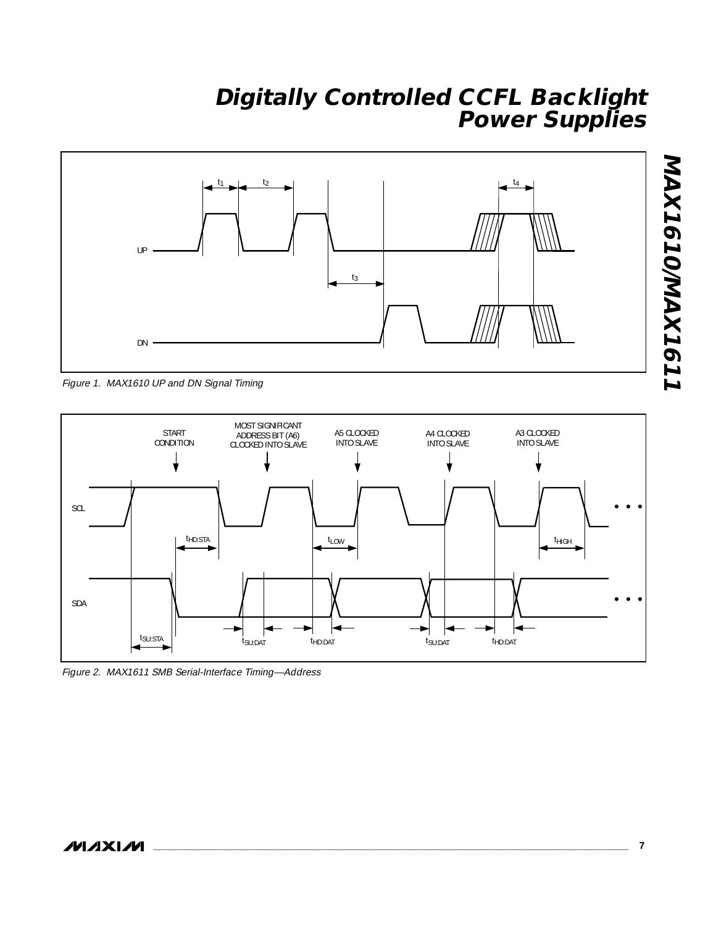

Figure 1. MAX1610 UP and DN Signal Timing



Figure 2. MAX1611 SMB Serial-Interface Timing—Address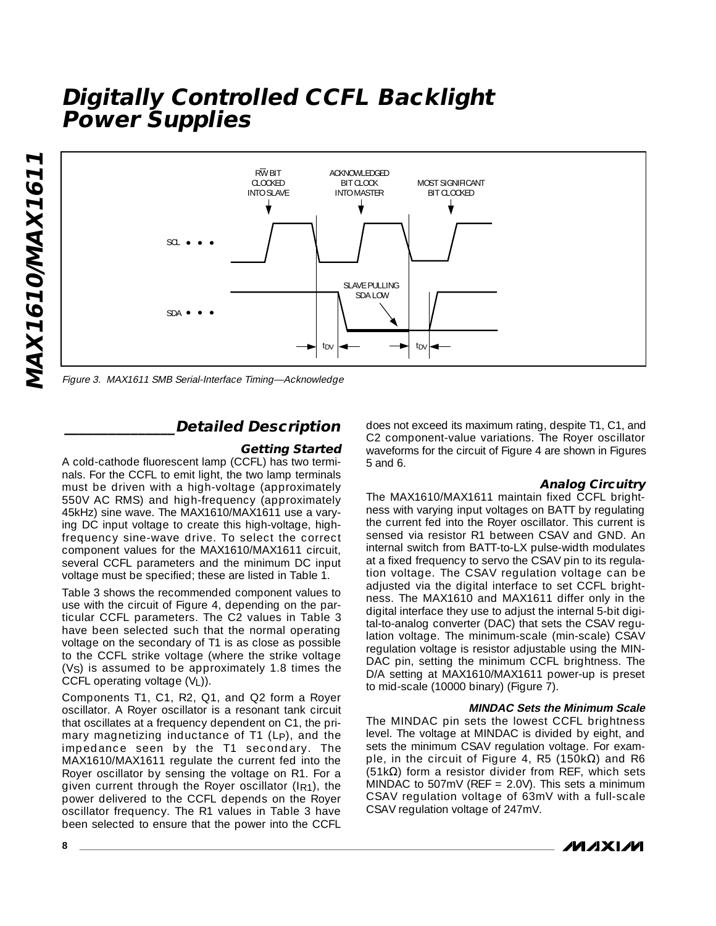

Figure 3. MAX1611 SMB Serial-Interface Timing—Acknowledge

#### **\_\_\_\_\_\_\_\_\_\_\_\_\_\_\_Detailed Description**

#### **Getting Started**

A cold-cathode fluorescent lamp (CCFL) has two terminals. For the CCFL to emit light, the two lamp terminals must be driven with a high-voltage (approximately 550V AC RMS) and high-frequency (approximately 45kHz) sine wave. The MAX1610/MAX1611 use a varying DC input voltage to create this high-voltage, highfrequency sine-wave drive. To select the correct component values for the MAX1610/MAX1611 circuit, several CCFL parameters and the minimum DC input voltage must be specified; these are listed in Table 1.

Table 3 shows the recommended component values to use with the circuit of Figure 4, depending on the particular CCFL parameters. The C2 values in Table 3 have been selected such that the normal operating voltage on the secondary of T1 is as close as possible to the CCFL strike voltage (where the strike voltage (VS) is assumed to be approximately 1.8 times the CCFL operating voltage (VL)).

Components T1, C1, R2, Q1, and Q2 form a Royer oscillator. A Royer oscillator is a resonant tank circuit that oscillates at a frequency dependent on C1, the primary magnetizing inductance of T1 (LP), and the impedance seen by the T1 secondary. The MAX1610/MAX1611 regulate the current fed into the Royer oscillator by sensing the voltage on R1. For a given current through the Royer oscillator (IR1), the power delivered to the CCFL depends on the Royer oscillator frequency. The R1 values in Table 3 have been selected to ensure that the power into the CCFL

does not exceed its maximum rating, despite T1, C1, and C2 component-value variations. The Royer oscillator waveforms for the circuit of Figure 4 are shown in Figures 5 and 6.

#### **Analog Circuitry**

The MAX1610/MAX1611 maintain fixed CCFL brightness with varying input voltages on BATT by regulating the current fed into the Royer oscillator. This current is sensed via resistor R1 between CSAV and GND. An internal switch from BATT-to-LX pulse-width modulates at a fixed frequency to servo the CSAV pin to its regulation voltage. The CSAV regulation voltage can be adjusted via the digital interface to set CCFL brightness. The MAX1610 and MAX1611 differ only in the digital interface they use to adjust the internal 5-bit digital-to-analog converter (DAC) that sets the CSAV regulation voltage. The minimum-scale (min-scale) CSAV regulation voltage is resistor adjustable using the MIN-DAC pin, setting the minimum CCFL brightness. The D/A setting at MAX1610/MAX1611 power-up is preset to mid-scale (10000 binary) (Figure 7).

#### **MINDAC Sets the Minimum Scale**

The MINDAC pin sets the lowest CCFL brightness level. The voltage at MINDAC is divided by eight, and sets the minimum CSAV regulation voltage. For example, in the circuit of Figure 4, R5 (150kΩ) and R6 (51kΩ) form a resistor divider from REF, which sets MINDAC to 507mV (REF =  $2.0V$ ). This sets a minimum CSAV regulation voltage of 63mV with a full-scale CSAV regulation voltage of 247mV.

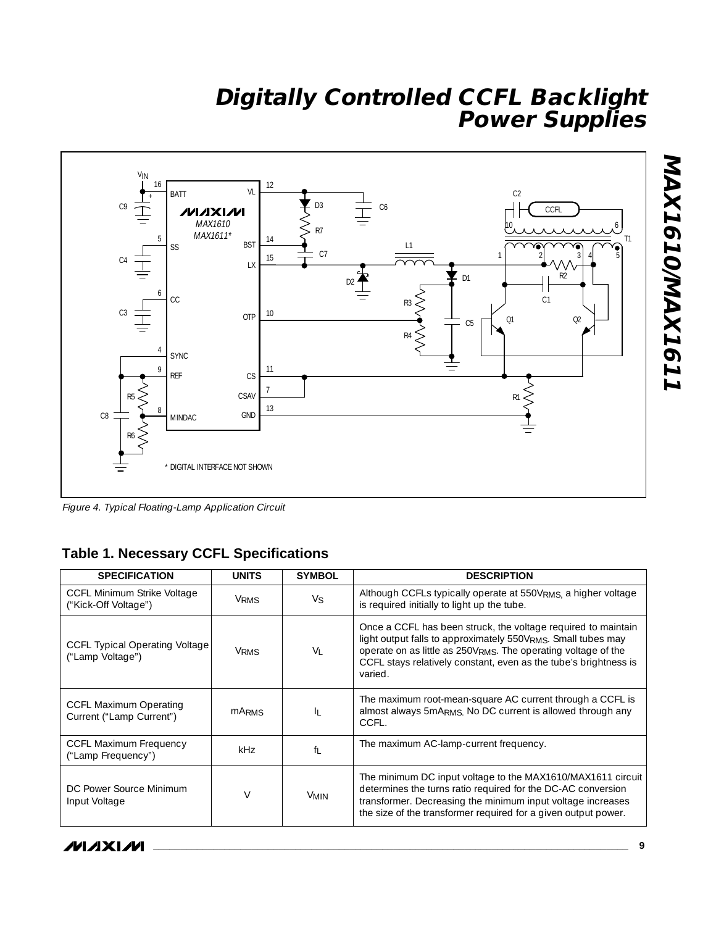

Figure 4. Typical Floating-Lamp Application Circuit

### **Table 1. Necessary CCFL Specifications**

| <b>SPECIFICATION</b>                                       | <b>UNITS</b> | <b>SYMBOL</b>                                                                                                                                                                                                                                                                       | <b>DESCRIPTION</b>                                                                                                                                                                                                                                           |
|------------------------------------------------------------|--------------|-------------------------------------------------------------------------------------------------------------------------------------------------------------------------------------------------------------------------------------------------------------------------------------|--------------------------------------------------------------------------------------------------------------------------------------------------------------------------------------------------------------------------------------------------------------|
| <b>CCFL Minimum Strike Voltage</b><br>("Kick-Off Voltage") | <b>VRMS</b>  | Vs                                                                                                                                                                                                                                                                                  | Although CCFLs typically operate at 550V <sub>RMS</sub> a higher voltage<br>is required initially to light up the tube.                                                                                                                                      |
| CCFL Typical Operating Voltage<br>("Lamp Voltage")         | <b>VRMS</b>  | Once a CCFL has been struck, the voltage required to maintain<br>light output falls to approximately 550VRMS. Small tubes may<br>operate on as little as 250VRMS. The operating voltage of the<br>Vı<br>CCFL stays relatively constant, even as the tube's brightness is<br>varied. |                                                                                                                                                                                                                                                              |
| <b>CCFL Maximum Operating</b><br>Current ("Lamp Current")  | <b>MARMS</b> | IL.                                                                                                                                                                                                                                                                                 | The maximum root-mean-square AC current through a CCFL is<br>almost always 5mARMS. No DC current is allowed through any<br>CCFL.                                                                                                                             |
| <b>CCFL Maximum Frequency</b><br>("Lamp Frequency")        | kHz          | fı                                                                                                                                                                                                                                                                                  | The maximum AC-lamp-current frequency.                                                                                                                                                                                                                       |
| DC Power Source Minimum<br>Input Voltage                   | $\vee$       | <b>VMIN</b>                                                                                                                                                                                                                                                                         | The minimum DC input voltage to the MAX1610/MAX1611 circuit<br>determines the turns ratio required for the DC-AC conversion<br>transformer. Decreasing the minimum input voltage increases<br>the size of the transformer required for a given output power. |

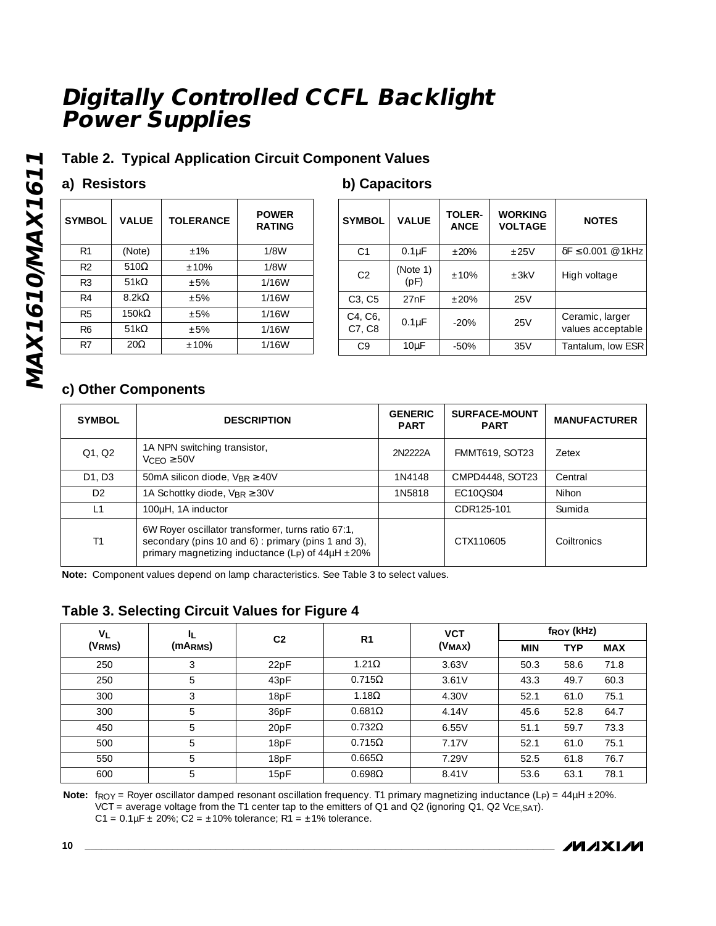### **Table 2. Typical Application Circuit Component Values**

### **a) Resistors**

#### **b) Capacitors**

| <b>SYMBOL</b>  | <b>VALUE</b> | <b>TOLERANCE</b> | <b>POWER</b><br><b>RATING</b> |
|----------------|--------------|------------------|-------------------------------|
| R <sub>1</sub> | (Note)       | $+1%$            | 1/8W                          |
| R <sub>2</sub> | $510\Omega$  | $+10%$           | 1/8W                          |
| R <sub>3</sub> | 51 $k\Omega$ | $+5%$            | 1/16W                         |
| R4             | $8.2k\Omega$ | $+5%$            | 1/16W                         |
| R <sub>5</sub> | $150k\Omega$ | $+5%$            | 1/16W                         |
| R6             | 51 $k\Omega$ | $+5%$            | 1/16W                         |
| R7             | $20\Omega$   | ±10%             | 1/16W                         |

| <b>SYMBOL</b>     | <b>VALUE</b>      | <b>TOLER-</b><br><b>ANCE</b> | <b>WORKING</b><br><b>VOLTAGE</b> | <b>NOTES</b>                                   |
|-------------------|-------------------|------------------------------|----------------------------------|------------------------------------------------|
| C <sub>1</sub>    | $0.1\mu F$        | $+20%$                       | $+25V$                           | $\delta F \leq 0.001 \; \textcircled{e}$ 1 kHz |
| C <sub>2</sub>    | (Note 1)<br>(pF)  | $+10%$                       | $+3kV$                           | High voltage                                   |
| C3, C5            | 27nF              | $+20%$                       | 25V                              |                                                |
| C4, C6,<br>C7, C8 | $0.1\mu F$        | $-20%$                       | 25V                              | Ceramic, larger<br>values acceptable           |
| C <sub>9</sub>    | 10 <sub>u</sub> F | $-50%$                       | 35V                              | Tantalum, low ESR                              |

### **c) Other Components**

| <b>SYMBOL</b>                   | <b>DESCRIPTION</b>                                                                                                                                                      | <b>GENERIC</b><br><b>PART</b> | <b>SURFACE-MOUNT</b><br><b>PART</b> | <b>MANUFACTURER</b> |
|---------------------------------|-------------------------------------------------------------------------------------------------------------------------------------------------------------------------|-------------------------------|-------------------------------------|---------------------|
| Q1, Q2                          | 1A NPN switching transistor,<br>$VCFO \geq 50V$                                                                                                                         | 2N2222A                       | <b>FMMT619, SOT23</b>               | <b>Zetex</b>        |
| D <sub>1</sub> . D <sub>3</sub> | 50mA silicon diode, $V_{BR} \geq 40V$                                                                                                                                   | 1N4148                        | CMPD4448, SOT23                     | Central             |
| D <sub>2</sub>                  | 1A Schottky diode, $V_{BR} \geq 30V$                                                                                                                                    | 1N5818                        | EC10OS04                            | Nihon               |
| $\vert$ 1                       | 100µH, 1A inductor                                                                                                                                                      |                               | CDR125-101                          | Sumida              |
| T1                              | 6W Royer oscillator transformer, turns ratio 67:1,<br>secondary (pins 10 and 6): primary (pins 1 and 3),<br>primary magnetizing inductance (Lp) of $44\mu$ H $\pm 20\%$ |                               | CTX110605                           | Colltronics         |

**Note:** Component values depend on lamp characteristics. See Table 3 to select values.

### **Table 3. Selecting Circuit Values for Figure 4**

| $V_L$<br>IL.<br>(VRMS) |         | C <sub>2</sub>   | R <sub>1</sub> | <b>VCT</b><br>$(V_{MAX})$ | f <sub>ROY</sub> (kHz) |            |            |
|------------------------|---------|------------------|----------------|---------------------------|------------------------|------------|------------|
|                        | (MARMS) |                  |                |                           | <b>MIN</b>             | <b>TYP</b> | <b>MAX</b> |
| 250                    | 3       | 22pF             | $1.21\Omega$   | 3.63V                     | 50.3                   | 58.6       | 71.8       |
| 250                    | 5       | 43pF             | $0.715\Omega$  | 3.61V                     | 43.3                   | 49.7       | 60.3       |
| 300                    | 3       | 18pF             | $1.18\Omega$   | 4.30V                     | 52.1                   | 61.0       | 75.1       |
| 300                    | 5       | 36pF             | $0.681\Omega$  | 4.14V                     | 45.6                   | 52.8       | 64.7       |
| 450                    | 5       | 20 <sub>pF</sub> | $0.732\Omega$  | 6.55V                     | 51.1                   | 59.7       | 73.3       |
| 500                    | 5       | 18pF             | $0.715\Omega$  | 7.17V                     | 52.1                   | 61.0       | 75.1       |
| 550                    | 5       | 18pF             | $0.665\Omega$  | 7.29V                     | 52.5                   | 61.8       | 76.7       |
| 600                    | 5       | 15pF             | $0.698\Omega$  | 8.41V                     | 53.6                   | 63.1       | 78.1       |

**Note:**  $f_{\text{ROY}} =$  Royer oscillator damped resonant oscillation frequency. T1 primary magnetizing inductance (L<sub>P</sub>) = 44µH ±20%. VCT = average voltage from the T1 center tap to the emitters of Q1 and Q2 (ignoring Q1, Q2 V<sub>CE,SAT</sub>). C1 =  $0.1 \mu$ F ± 20%; C2 = ±10% tolerance; R1 = ±1% tolerance.

/VI/IXI/VI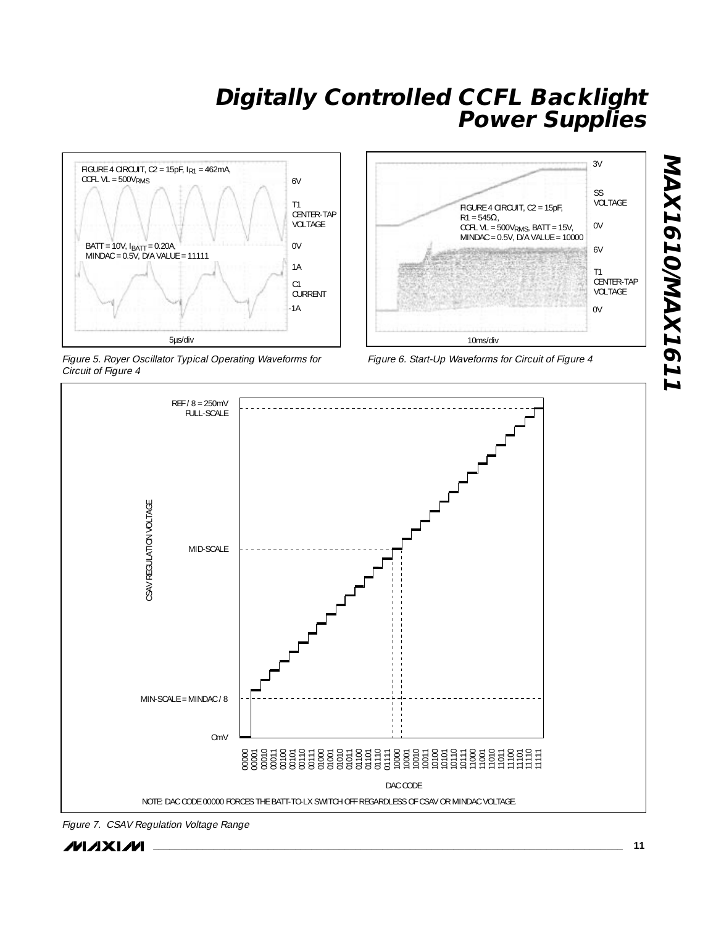

Figure 5. Royer Oscillator Typical Operating Waveforms for Circuit of Figure 4







Figure 7. CSAV Regulation Voltage Range

**MAX1610/MAX1611**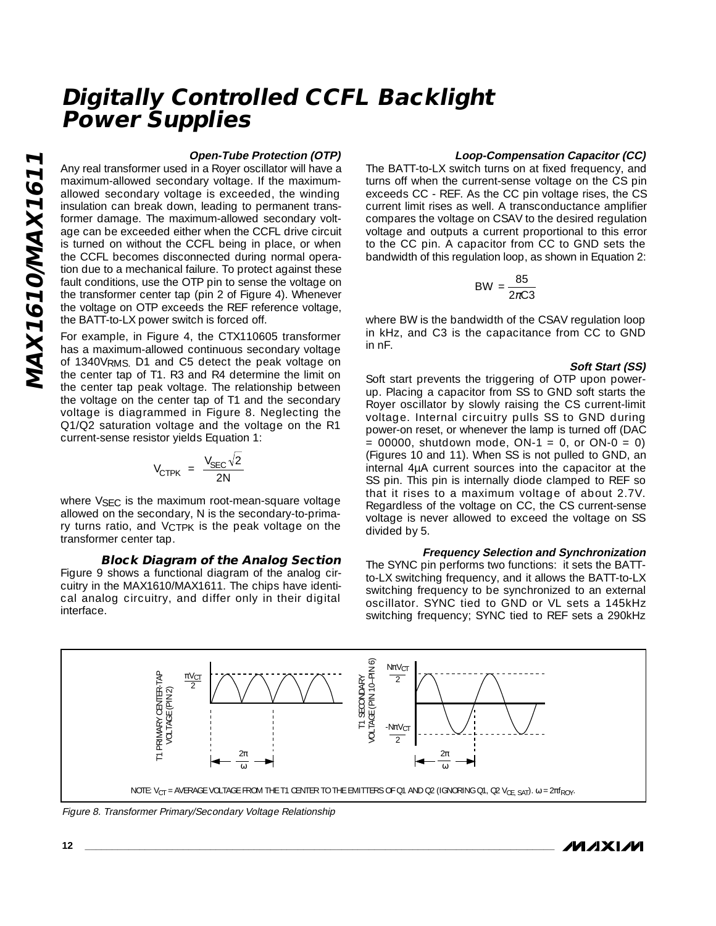#### **Open-Tube Protection (OTP)**

Any real transformer used in a Royer oscillator will have a maximum-allowed secondary voltage. If the maximumallowed secondary voltage is exceeded, the winding insulation can break down, leading to permanent transformer damage. The maximum-allowed secondary voltage can be exceeded either when the CCFL drive circuit is turned on without the CCFL being in place, or when the CCFL becomes disconnected during normal operation due to a mechanical failure. To protect against these fault conditions, use the OTP pin to sense the voltage on the transformer center tap (pin 2 of Figure 4). Whenever the voltage on OTP exceeds the REF reference voltage, the BATT-to-LX power switch is forced off.

For example, in Figure 4, the CTX110605 transformer has a maximum-allowed continuous secondary voltage of 1340VRMS. D1 and C5 detect the peak voltage on the center tap of T1. R3 and R4 determine the limit on the center tap peak voltage. The relationship between the voltage on the center tap of T1 and the secondary voltage is diagrammed in Figure 8. Neglecting the Q1/Q2 saturation voltage and the voltage on the R1 current-sense resistor yields Equation 1:

$$
V_{CTPK} = \frac{V_{SEC}\sqrt{2}}{2N}
$$

where V<sub>SEC</sub> is the maximum root-mean-square voltage allowed on the secondary, N is the secondary-to-primary turns ratio, and VCTPK is the peak voltage on the transformer center tap.

#### **Block Diagram of the Analog Section** Figure 9 shows a functional diagram of the analog circuitry in the MAX1610/MAX1611. The chips have identical analog circuitry, and differ only in their digital interface.

#### **Loop-Compensation Capacitor (CC)**

The BATT-to-LX switch turns on at fixed frequency, and turns off when the current-sense voltage on the CS pin exceeds CC - REF. As the CC pin voltage rises, the CS current limit rises as well. A transconductance amplifier compares the voltage on CSAV to the desired regulation voltage and outputs a current proportional to this error to the CC pin. A capacitor from CC to GND sets the bandwidth of this regulation loop, as shown in Equation 2:

$$
BW = \frac{85}{2\pi C3}
$$

where BW is the bandwidth of the CSAV regulation loop in kHz, and C3 is the capacitance from CC to GND in nF.

#### **Soft Start (SS)**

Soft start prevents the triggering of OTP upon powerup. Placing a capacitor from SS to GND soft starts the Royer oscillator by slowly raising the CS current-limit voltage. Internal circuitry pulls SS to GND during power-on reset, or whenever the lamp is turned off (DAC  $= 00000$ , shutdown mode, ON-1  $= 0$ , or ON-0  $= 0$ ) (Figures 10 and 11). When SS is not pulled to GND, an internal 4µA current sources into the capacitor at the SS pin. This pin is internally diode clamped to REF so that it rises to a maximum voltage of about 2.7V. Regardless of the voltage on CC, the CS current-sense voltage is never allowed to exceed the voltage on SS divided by 5.

**Frequency Selection and Synchronization** The SYNC pin performs two functions: it sets the BATTto-LX switching frequency, and it allows the BATT-to-LX switching frequency to be synchronized to an external oscillator. SYNC tied to GND or VL sets a 145kHz switching frequency; SYNC tied to REF sets a 290kHz

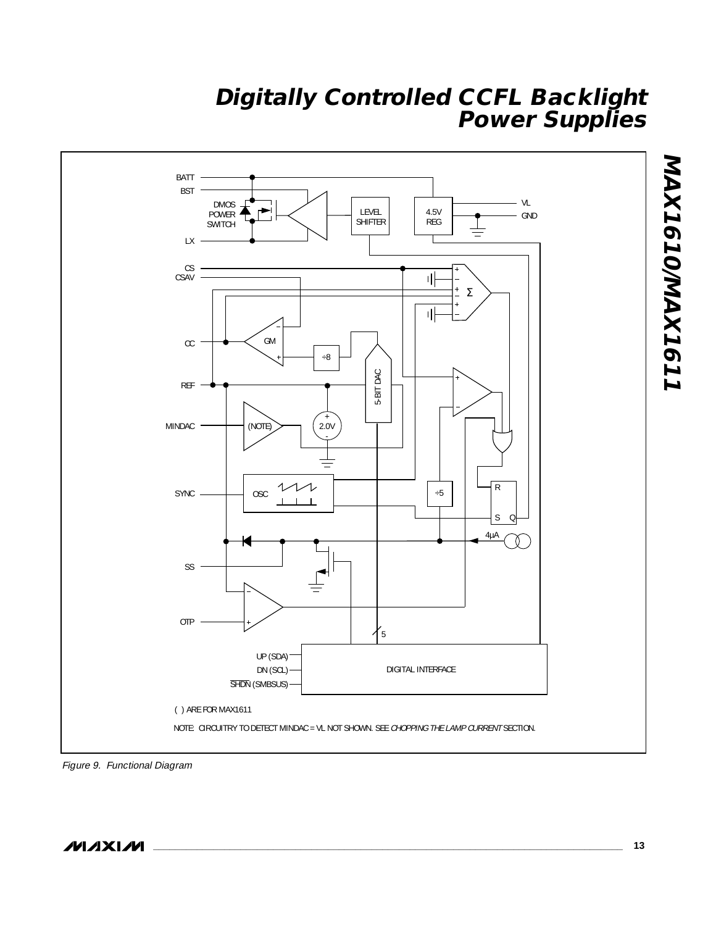

Figure 9. Functional Diagram

**MAXIM**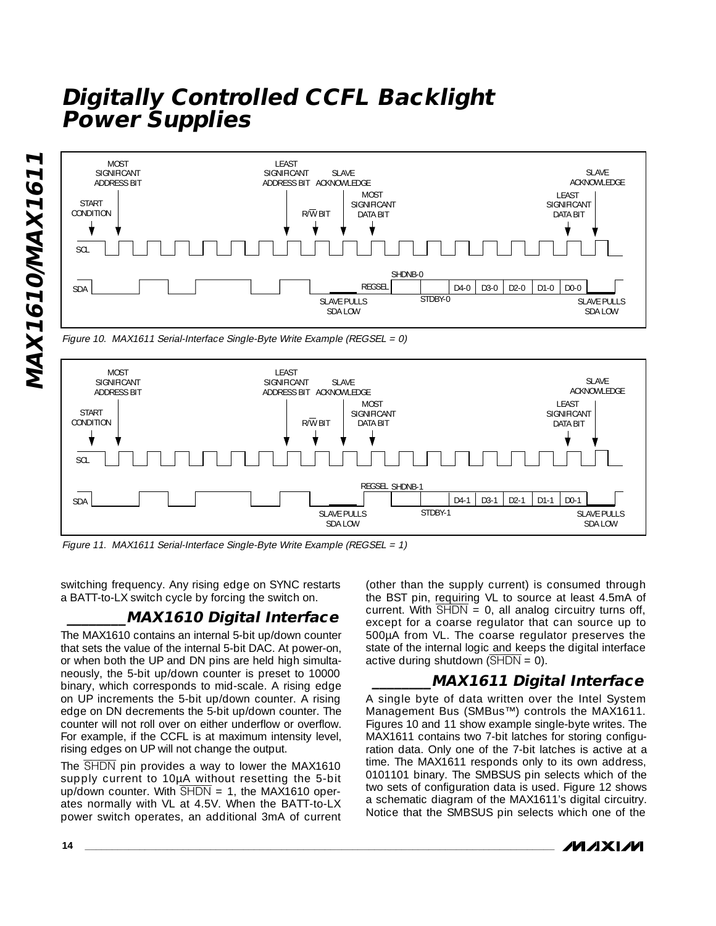

Figure 10. MAX1611 Serial-Interface Single-Byte Write Example (REGSEL = 0)



Figure 11. MAX1611 Serial-Interface Single-Byte Write Example (REGSEL = 1)

switching frequency. Any rising edge on SYNC restarts a BATT-to-LX switch cycle by forcing the switch on.

### **\_\_\_\_\_\_\_\_MAX1610 Digital Interface**

The MAX1610 contains an internal 5-bit up/down counter that sets the value of the internal 5-bit DAC. At power-on, or when both the UP and DN pins are held high simultaneously, the 5-bit up/down counter is preset to 10000 binary, which corresponds to mid-scale. A rising edge on UP increments the 5-bit up/down counter. A rising edge on DN decrements the 5-bit up/down counter. The counter will not roll over on either underflow or overflow. For example, if the CCFL is at maximum intensity level, rising edges on UP will not change the output.

The  $\overline{\text{SHDN}}$  pin provides a way to lower the MAX1610 supply current to 10µA without resetting the 5-bit up/down counter. With  $\overline{\text{SHDN}} = 1$ , the MAX1610 operates normally with VL at 4.5V. When the BATT-to-LX power switch operates, an additional 3mA of current

(other than the supply current) is consumed through the BST pin, requiring VL to source at least 4.5mA of current. With  $\overline{SHDN} = 0$ , all analog circuitry turns off, except for a coarse regulator that can source up to 500µA from VL. The coarse regulator preserves the state of the internal logic and keeps the digital interface active during shutdown  $(\overline{\text{SHDN}} = 0)$ .

### **\_\_\_\_\_\_\_\_MAX1611 Digital Interface**

A single byte of data written over the Intel System Management Bus (SMBus™) controls the MAX1611. Figures 10 and 11 show example single-byte writes. The MAX1611 contains two 7-bit latches for storing configuration data. Only one of the 7-bit latches is active at a time. The MAX1611 responds only to its own address, 0101101 binary. The SMBSUS pin selects which of the two sets of configuration data is used. Figure 12 shows a schematic diagram of the MAX1611's digital circuitry. Notice that the SMBSUS pin selects which one of the

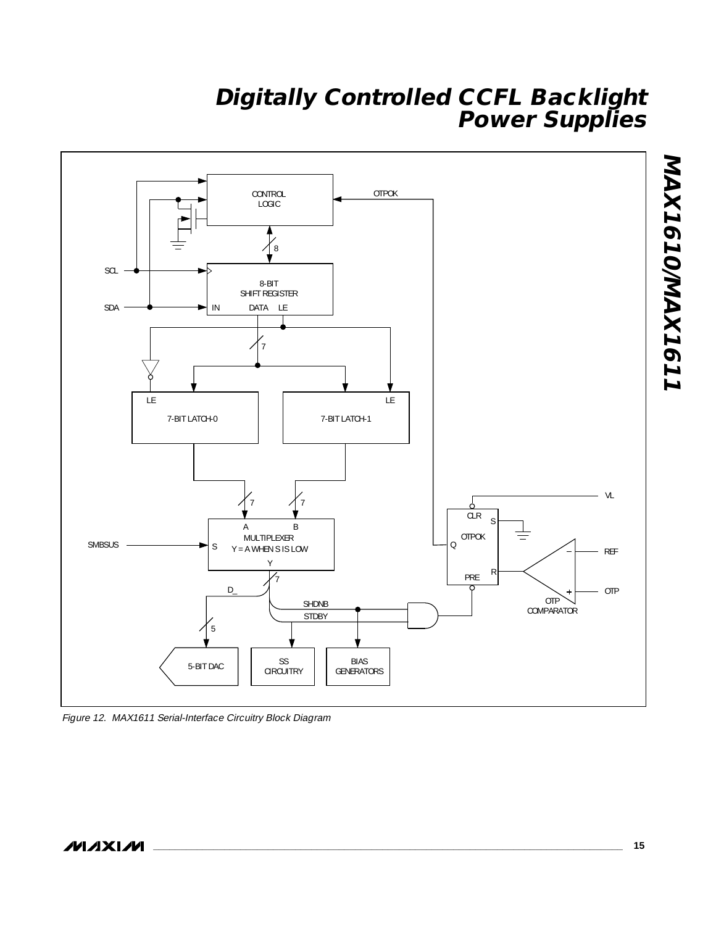

Figure 12. MAX1611 Serial-Interface Circuitry Block Diagram

**MAX1610/MAX1611**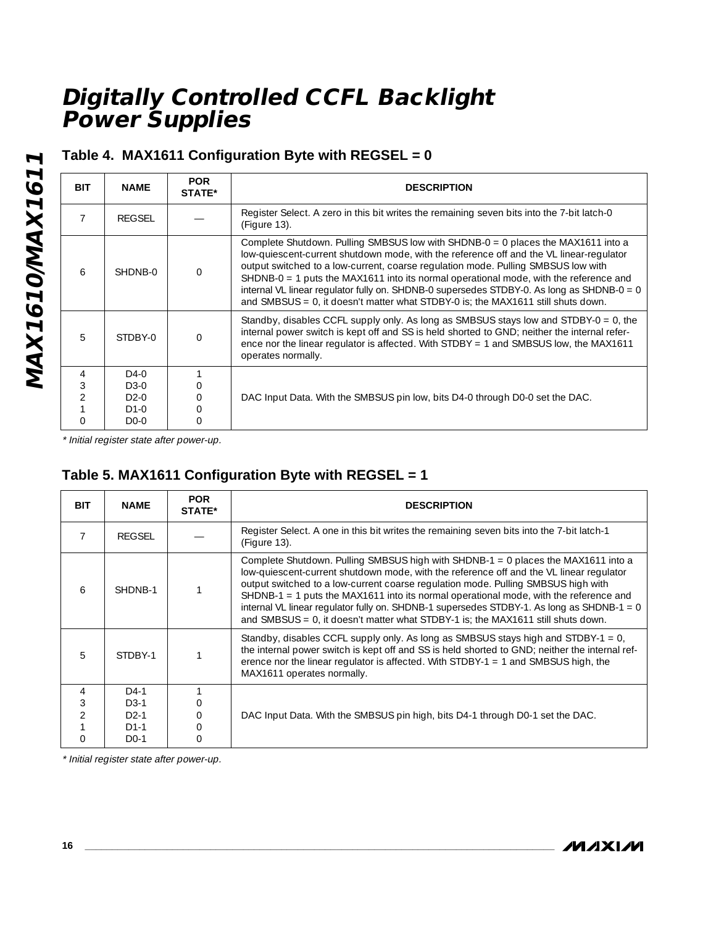## **Table 4. MAX1611 Configuration Byte with REGSEL = 0**

| <b>BIT</b>               | <b>NAME</b>                                            | <b>POR</b><br>STATE* | <b>DESCRIPTION</b>                                                                                                                                                                                                                                                                                                                                                                                                                                                                                                                            |  |  |
|--------------------------|--------------------------------------------------------|----------------------|-----------------------------------------------------------------------------------------------------------------------------------------------------------------------------------------------------------------------------------------------------------------------------------------------------------------------------------------------------------------------------------------------------------------------------------------------------------------------------------------------------------------------------------------------|--|--|
|                          | REGSEL                                                 |                      | Register Select. A zero in this bit writes the remaining seven bits into the 7-bit latch-0<br>(Figure 13).                                                                                                                                                                                                                                                                                                                                                                                                                                    |  |  |
| $\overline{a}$           | SHDNB-0                                                |                      | Complete Shutdown. Pulling SMBSUS low with SHDNB-0 = 0 places the MAX1611 into a<br>low-quiescent-current shutdown mode, with the reference off and the VL linear-regulator<br>output switched to a low-current, coarse regulation mode. Pulling SMBSUS low with<br>SHDNB-0 = 1 puts the MAX1611 into its normal operational mode, with the reference and<br>internal VL linear regulator fully on. SHDNB-0 supersedes STDBY-0. As long as SHDNB-0 = 0<br>and SMBSUS = $0$ , it doesn't matter what STDBY-0 is; the MAX1611 still shuts down. |  |  |
| 5                        | STDBY-0                                                |                      | Standby, disables CCFL supply only. As long as SMBSUS stays low and STDBY-0 = 0, the<br>internal power switch is kept off and SS is held shorted to GND; neither the internal refer-<br>ence nor the linear regulator is affected. With STDBY = 1 and SMBSUS low, the MAX1611<br>operates normally.                                                                                                                                                                                                                                           |  |  |
| 4<br>3<br>$\mathfrak{D}$ | $D4-0$<br>$D3-0$<br>$D2-0$<br>$D1-0$<br>D <sub>0</sub> | O                    | DAC Input Data. With the SMBSUS pin low, bits D4-0 through D0-0 set the DAC.                                                                                                                                                                                                                                                                                                                                                                                                                                                                  |  |  |

\* Initial register state after power-up.

## **Table 5. MAX1611 Configuration Byte with REGSEL = 1**

| <b>BIT</b>     | <b>NAME</b> | <b>POR</b><br><b>STATE*</b> | <b>DESCRIPTION</b>                                                                                                                                                                                                                                                                                                                                                                                                                                                                                                                               |  |  |
|----------------|-------------|-----------------------------|--------------------------------------------------------------------------------------------------------------------------------------------------------------------------------------------------------------------------------------------------------------------------------------------------------------------------------------------------------------------------------------------------------------------------------------------------------------------------------------------------------------------------------------------------|--|--|
|                | REGSEL      |                             | Register Select. A one in this bit writes the remaining seven bits into the 7-bit latch-1<br>(Figure 13).                                                                                                                                                                                                                                                                                                                                                                                                                                        |  |  |
| 6              | SHDNB-1     |                             | Complete Shutdown. Pulling SMBSUS high with SHDNB-1 = 0 places the MAX1611 into a<br>low-quiescent-current shutdown mode, with the reference off and the VL linear regulator<br>output switched to a low-current coarse regulation mode. Pulling SMBSUS high with<br>$SHDNB-1 = 1$ puts the MAX1611 into its normal operational mode, with the reference and<br>internal VL linear regulator fully on. SHDNB-1 supersedes STDBY-1. As long as SHDNB-1 = 0<br>and SMBSUS = $0$ , it doesn't matter what STDBY-1 is; the MAX1611 still shuts down. |  |  |
| 5              | STDBY-1     |                             | Standby, disables CCFL supply only. As long as SMBSUS stays high and STDBY-1 = 0,<br>the internal power switch is kept off and SS is held shorted to GND; neither the internal ref-<br>erence nor the linear regulator is affected. With STDBY-1 = 1 and SMBSUS high, the<br>MAX1611 operates normally.                                                                                                                                                                                                                                          |  |  |
| $\overline{4}$ | $D4-1$      |                             |                                                                                                                                                                                                                                                                                                                                                                                                                                                                                                                                                  |  |  |
| 3              | $D3-1$      |                             |                                                                                                                                                                                                                                                                                                                                                                                                                                                                                                                                                  |  |  |
| $\overline{2}$ | $D2-1$      | 0                           | DAC Input Data. With the SMBSUS pin high, bits D4-1 through D0-1 set the DAC.                                                                                                                                                                                                                                                                                                                                                                                                                                                                    |  |  |
|                | $D1-1$      |                             |                                                                                                                                                                                                                                                                                                                                                                                                                                                                                                                                                  |  |  |
| $\Omega$       | $D0$ -1     |                             |                                                                                                                                                                                                                                                                                                                                                                                                                                                                                                                                                  |  |  |

\* Initial register state after power-up.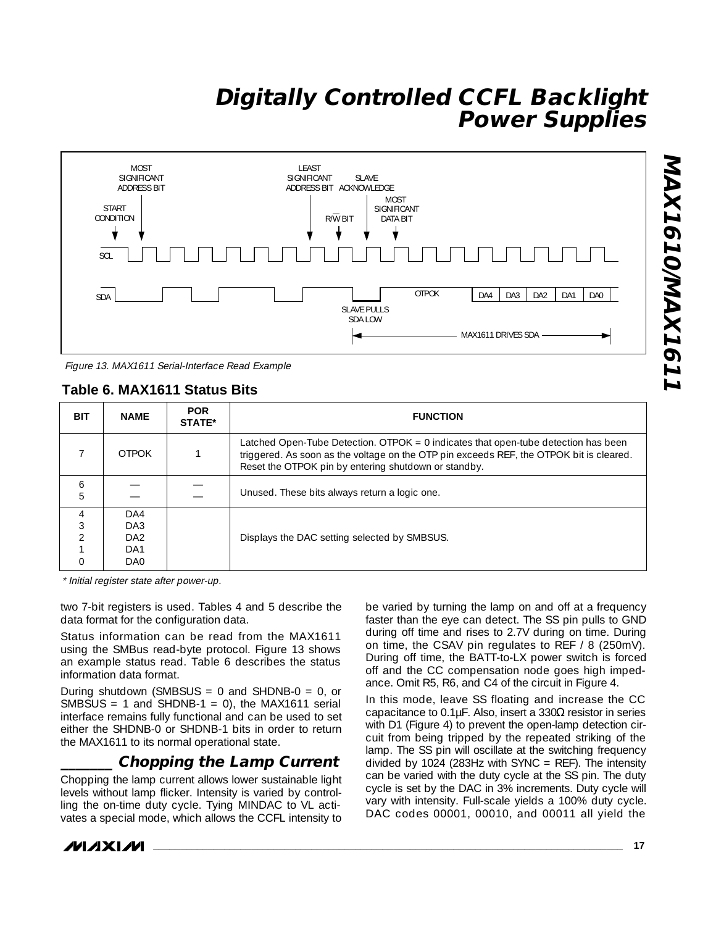

Figure 13. MAX1611 Serial-Interface Read Example

### **Table 6. MAX1611 Status Bits**

| <b>BIT</b>     | <b>NAME</b>                     | <b>POR</b><br><b>STATE*</b> | <b>FUNCTION</b>                                                                                                                                                                                                                         |  |  |
|----------------|---------------------------------|-----------------------------|-----------------------------------------------------------------------------------------------------------------------------------------------------------------------------------------------------------------------------------------|--|--|
|                | <b>OTPOK</b>                    |                             | Latched Open-Tube Detection. OTPOK $= 0$ indicates that open-tube detection has been<br>triggered. As soon as the voltage on the OTP pin exceeds REF, the OTPOK bit is cleared.<br>Reset the OTPOK pin by entering shutdown or standby. |  |  |
| 6<br>5         |                                 |                             | Unused. These bits always return a logic one.                                                                                                                                                                                           |  |  |
| $\overline{4}$ | DA4<br>DA3<br>DA2<br>DA1<br>DA0 |                             | Displays the DAC setting selected by SMBSUS.                                                                                                                                                                                            |  |  |

\* Initial register state after power-up.

two 7-bit registers is used. Tables 4 and 5 describe the data format for the configuration data.

Status information can be read from the MAX1611 using the SMBus read-byte protocol. Figure 13 shows an example status read. Table 6 describes the status information data format.

During shutdown (SMBSUS = 0 and SHDNB-0 = 0, or SMBSUS = 1 and SHDNB-1 = 0), the MAX1611 serial interface remains fully functional and can be used to set either the SHDNB-0 or SHDNB-1 bits in order to return the MAX1611 to its normal operational state.

### **\_\_\_\_\_\_\_ Chopping the Lamp Current**

Chopping the lamp current allows lower sustainable light levels without lamp flicker. Intensity is varied by controlling the on-time duty cycle. Tying MINDAC to VL activates a special mode, which allows the CCFL intensity to

be varied by turning the lamp on and off at a frequency faster than the eye can detect. The SS pin pulls to GND during off time and rises to 2.7V during on time. During on time, the CSAV pin regulates to REF / 8 (250mV). During off time, the BATT-to-LX power switch is forced off and the CC compensation node goes high impedance. Omit R5, R6, and C4 of the circuit in Figure 4.

In this mode, leave SS floating and increase the CC capacitance to 0.1µF. Also, insert a 330 $\Omega$  resistor in series with D1 (Figure 4) to prevent the open-lamp detection circuit from being tripped by the repeated striking of the lamp. The SS pin will oscillate at the switching frequency divided by 1024 (283Hz with SYNC = REF). The intensity can be varied with the duty cycle at the SS pin. The duty cycle is set by the DAC in 3% increments. Duty cycle will vary with intensity. Full-scale yields a 100% duty cycle. DAC codes 00001, 00010, and 00011 all yield the

*MAXM*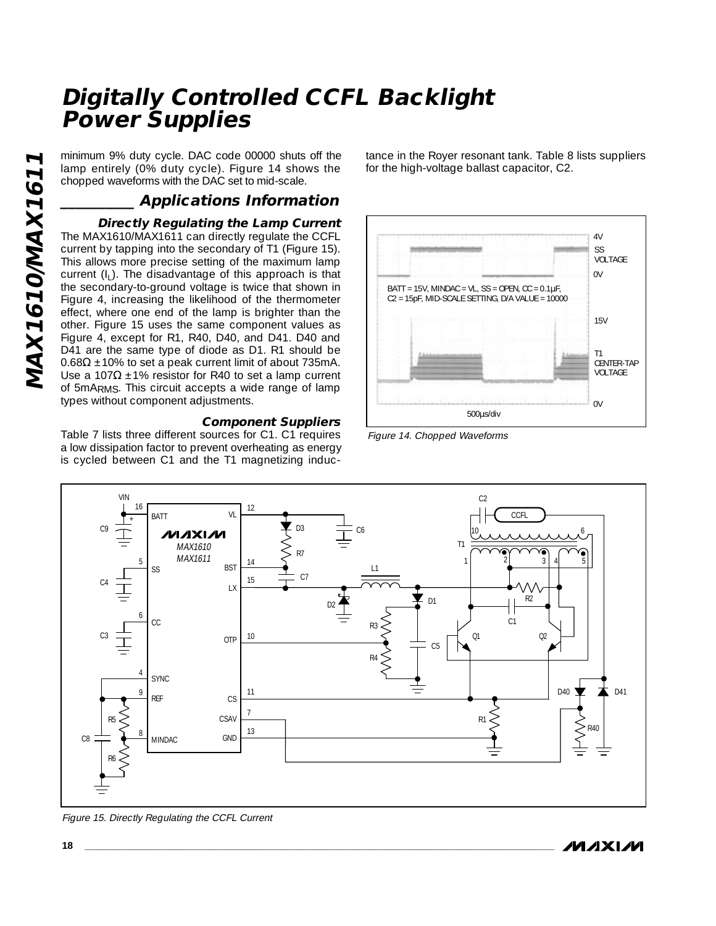lamp entirely (0% duty cycle). Figure 14 shows the chopped waveforms with the DAC set to mid-scale.

**\_\_\_\_\_\_\_\_\_\_ Applications Information**

minimum 9% duty cycle. DAC code 00000 shuts off the<br>
chopped waveforms with the DAC set to mid-scale.<br> **Applications Information**<br> **Directly Regulating the Lamp Current**<br>
The MAX1610/MAX1611 can directly regulate the CCFL **Directly Regulating the Lamp Current** The MAX1610/MAX1611 can directly regulate the CCFL current by tapping into the secondary of T1 (Figure 15). This allows more precise setting of the maximum lamp current  $(I<sub>1</sub>)$ . The disadvantage of this approach is that the secondary-to-ground voltage is twice that shown in Figure 4, increasing the likelihood of the thermometer effect, where one end of the lamp is brighter than the other. Figure 15 uses the same component values as Figure 4, except for R1, R40, D40, and D41. D40 and D41 are the same type of diode as D1. R1 should be  $0.68\Omega \pm 10\%$  to set a peak current limit of about 735mA. Use a 107Ω  $±1\%$  resistor for R40 to set a lamp current of 5mARMS. This circuit accepts a wide range of lamp types without component adjustments.

#### **Component Suppliers**

Table 7 lists three different sources for C1. C1 requires a low dissipation factor to prevent overheating as energy is cycled between C1 and the T1 magnetizing inductance in the Royer resonant tank. Table 8 lists suppliers for the high-voltage ballast capacitor, C2.



Figure 14. Chopped Waveforms



Figure 15. Directly Regulating the CCFL Current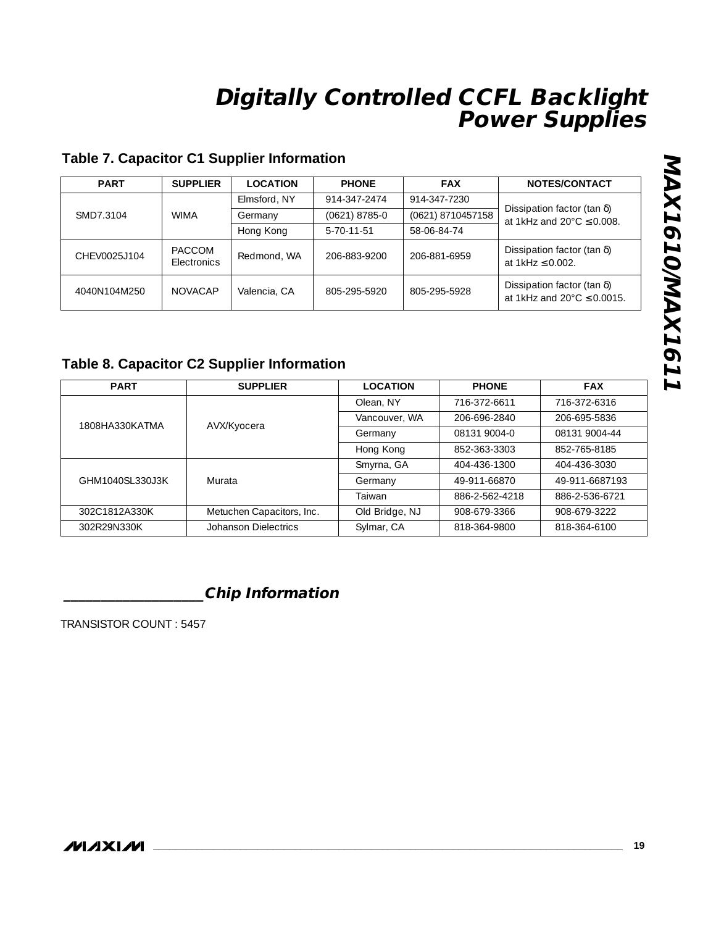### **Table 7. Capacitor C1 Supplier Information**

| <b>PART</b>   | <b>SUPPLIER</b>              | <b>LOCATION</b> | <b>PHONE</b>       | <b>FAX</b>        | NOTES/CONTACT                                                                   |  |
|---------------|------------------------------|-----------------|--------------------|-------------------|---------------------------------------------------------------------------------|--|
| SMD7.3104     | <b>WIMA</b>                  | Elmsford, NY    | 914-347-2474       | 914-347-7230      | Dissipation factor (tan $\delta$ )<br>at 1kHz and $20^{\circ}$ C $\leq$ 0.008.  |  |
|               |                              | Germany         | $(0621)$ 8785-0    | (0621) 8710457158 |                                                                                 |  |
|               |                              | Hong Kong       | $5 - 70 - 11 - 51$ | 58-06-84-74       |                                                                                 |  |
| CHEV0025.J104 | <b>PACCOM</b><br>Electronics | Redmond, WA     | 206-883-9200       | 206-881-6959      | Dissipation factor (tan $\delta$ )<br>at $1kHz \le 0.002$ .                     |  |
| 4040N104M250  | <b>NOVACAP</b>               | Valencia, CA    | 805-295-5920       | 805-295-5928      | Dissipation factor (tan $\delta$ )<br>at 1kHz and $20^{\circ}$ C $\leq$ 0.0015. |  |

### **Table 8. Capacitor C2 Supplier Information**

| <b>PART</b>     | <b>SUPPLIER</b>                        | <b>LOCATION</b> | <b>PHONE</b>   | <b>FAX</b>     |
|-----------------|----------------------------------------|-----------------|----------------|----------------|
|                 |                                        | Olean, NY       | 716-372-6611   | 716-372-6316   |
| 1808HA330KATMA  |                                        | Vancouver, WA   | 206-696-2840   | 206-695-5836   |
|                 | AVX/Kyocera<br>08131 9004-0<br>Germany |                 |                | 08131 9004-44  |
|                 |                                        | Hong Kong       | 852-363-3303   | 852-765-8185   |
|                 |                                        | Smyrna, GA      | 404-436-1300   | 404-436-3030   |
| GHM1040SL330J3K | Murata                                 | Germany         | 49-911-66870   | 49-911-6687193 |
|                 |                                        | Taiwan          | 886-2-562-4218 | 886-2-536-6721 |
| 302C1812A330K   | Metuchen Capacitors, Inc.              | Old Bridge, NJ  | 908-679-3366   | 908-679-3222   |
| 302R29N330K     | Johanson Dielectrics                   | Sylmar, CA      | 818-364-9800   | 818-364-6100   |

## **\_\_\_\_\_\_\_\_\_\_\_\_\_\_\_\_\_\_\_Chip Information**

TRANSISTOR COUNT : 5457